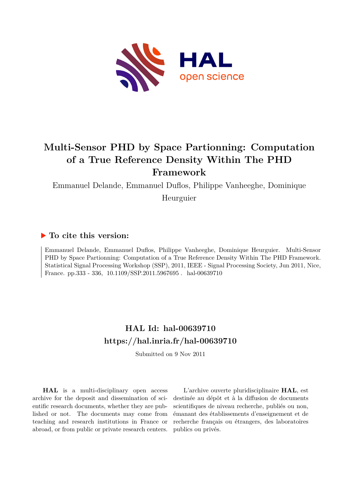

# **Multi-Sensor PHD by Space Partionning: Computation of a True Reference Density Within The PHD Framework**

Emmanuel Delande, Emmanuel Duflos, Philippe Vanheeghe, Dominique

Heurguier

## **To cite this version:**

Emmanuel Delande, Emmanuel Duflos, Philippe Vanheeghe, Dominique Heurguier. Multi-Sensor PHD by Space Partionning: Computation of a True Reference Density Within The PHD Framework. Statistical Signal Processing Workshop (SSP), 2011, IEEE - Signal Processing Society, Jun 2011, Nice, France. pp.333 - 336,  $10.1109/SSP.2011.5967695$ . hal-00639710

## **HAL Id: hal-00639710 <https://hal.inria.fr/hal-00639710>**

Submitted on 9 Nov 2011

**HAL** is a multi-disciplinary open access archive for the deposit and dissemination of scientific research documents, whether they are published or not. The documents may come from teaching and research institutions in France or abroad, or from public or private research centers.

L'archive ouverte pluridisciplinaire **HAL**, est destinée au dépôt et à la diffusion de documents scientifiques de niveau recherche, publiés ou non, émanant des établissements d'enseignement et de recherche français ou étrangers, des laboratoires publics ou privés.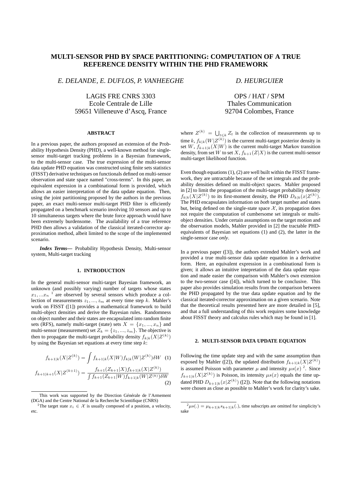### **MULTI-SENSOR PHD BY SPACE PARTITIONING: COMPUTATION OF A TRUE REFERENCE DENSITY WITHIN THE PHD FRAMEWORK**

*E. DELANDE, E. DUFLOS, P. VANHEEGHE*

LAGIS FRE CNRS 3303 Ecole Centrale de Lille 59651 Villeneuve d'Ascq, France

#### **ABSTRACT**

In a previous paper, the authors proposed an extension of the Probability Hypothesis Density (PHD), a well-known method for singlesensor multi-target tracking problems in a Bayesian framework, to the multi-sensor case. The true expression of the multi-sensor data update PHD equation was constructed using finite sets statistics (FISST) derivative techniques on functionals defined on multi-sensor observation and state space named "cross-terms". In this paper, an equivalent expression in a combinational form is provided, which allows an easier interpretation of the data update equation. Then, using the joint partitioning proposed by the authors in the previous paper, an exact multi-sensor multi-target PHD filter is efficiently propagated on a benchmark scenario involving 10 sensors and up to 10 simultaneous targets where the brute force approach would have been extremely burdensome. The availability of a true reference PHD then allows a validation of the classical iterated-corrector approximation method, albeit limited to the scope of the implemented scenario.

*Index Terms***—** Probability Hypothesis Density, Multi-sensor system, Multi-target tracking

#### **1. INTRODUCTION**

In the general multi-sensor multi-target Bayesian framework, an unknown (and possibly varying) number of targets whose states  $x_1, \ldots x_n$ <sup>1</sup> are observed by several sensors which produce a collection of measurements  $z_1, ..., z_m$  at every time step k. Mahler's work on FISST ([1]) provides a mathematical framework to build multi-object densities and derive the Bayesian rules. Randomness on object number and their states are encapsulated into random finite sets (RFS), namely multi-target (state) sets  $X = \{x_1, ..., x_n\}$  and multi-sensor (measurement) set  $Z_k = \{z_1, ..., z_m\}$ . The objective is then to propagate the multi-target probability density  $f_{k|k}(X|Z^{(k)})$ by using the Bayesian set equations at every time step  $k$ :

$$
f_{k+1|k}(X|Z^{(k)}) = \int f_{k+1|k}(X|W)f_{k|k}(W|Z^{(k)})\delta W \quad (1)
$$

$$
f_{k+1}(Z_{k+1}|X)f_{k+1|k}(X|Z^{(k)})
$$

$$
f_{k+1|k+1}(X|Z^{(k+1)}) = \frac{f_{k+1}(Z_{k+1}|X)f_{k+1|k}(X|Z^{(k)})}{\int f_{k+1}(Z_{k+1}|W)f_{k+1|k}(W|Z^{(k)})\delta W}
$$
\n(2)

### *D. HEURGUIER*

OPS / HAT / SPM Thales Communication 92704 Colombes, France

where  $Z^{(k)} = \bigcup_{t \leq k} Z_t$  is the collection of measurements up to time  $k$ ,  $f_{k|k}(W|Z^{(k)})$  is the current multi-target posterior density in set W,  $f_{k+1|k}(X|W)$  is the current multi-target Markov transition density, from set W to set X,  $f_{k+1}(Z|X)$  is the current multi-sensor multi-target likelihood function.

Even though equations (1), (2) are well built within the FISST framework, they are untractable because of the set integrals and the probability densities defined on multi-object spaces. Mahler proposed in [2] to limit the propagation of the multi-target probability density  $f_{k|k}(X|Z^{(k)})$  to its first-moment density, the PHD  $D_{k|k}(x|Z^{(k)})$ . The PHD encapsulates information on *both* target number and states but, being defined on the single-state space  $X$ , its propagation does not require the computation of cumbersome set integrals or multiobject densities. Under certain assumptions on the target motion and the observation models, Mahler provided in [2] the tractable PHDequivalents of Bayesian set equations (1) and (2), the latter in the single-sensor case *only*.

In a previous paper ([3]), the authors extended Mahler's work and provided a true multi-sensor data update equation in a derivative form. Here, an equivalent expression in a combinational form is given; it allows an intuitive intepretation of the data update equation and made easier the comparison with Mahler's own extension to the two-sensor case ([4]), which turned to be conclusive. This paper also provides simulation results from the comparison between the PHD propagated by the true data update equation and by the classical iterated-corrector approximation on a given scenario. Note that the theoretical results presented here are more detailed in [5], and that a full understanding of this work requires some knowledge about FISST theory and calculus rules which may be found in [1].

#### **2. MULTI-SENSOR DATA UPDATE EQUATION**

Following the time update step and with the same assumption than exposed by Mahler ([2]), the updated distribution  $f_{k+1|k}(X|Z^{(k)})$ is assumed Poisson with parameter  $\mu$  and intensity  $\mu s(x)$ <sup>2</sup>. Since  $f_{k+1|k}(X|Z^{(k)})$  is Poisson, its intensity  $\mu s(x)$  equals the time updated PHD  $D_{k+1|k}(x|Z^{(k)})$  ([2]). Note that the following notations were chosen as close as possible to Mahler's work for clarity's sake.

This work was supported by the Direction Générale de l'Armement (DGA) and the Centre National de la Recherche Scientifique (CNRS)

<sup>&</sup>lt;sup>1</sup>The target state  $x_i \in \mathcal{X}$  is usually composed of a position, a velocity, etc.

 $^{2}\mu s(.) = \mu_{k+1|k} s_{k+1|k}(.)$ , time subscripts are omitted for simplicity's sake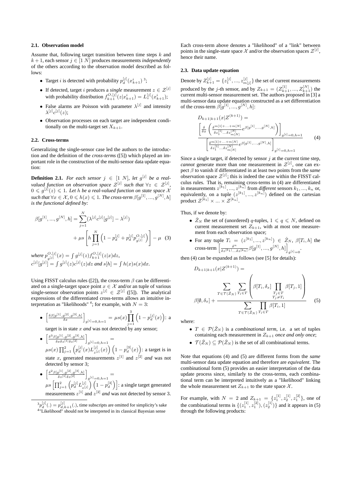#### **2.1. Observation model**

Assume that, following target transition between time steps  $k$  and  $k + 1$ , each sensor  $j \in [1 \ N]$  produces measurements *independently* of the others according to the observation model described as follows:

- Target *i* is detected with probability  $p_d^{[j]}(x_{k+1}^i)$ <sup>3</sup>;
- If detected, target *i* produces a *single* measurement  $z \in \mathcal{Z}^{[j]}$ with probability distribution  $f_{k+1}^{O,[j]}(z|x_{k+1}^{i}) = L_{z}^{[j]}(x_{k+1}^{i});$
- False alarms are Poisson with parameter  $\lambda^{[j]}$  and intensity  $\lambda^{[j]}c^{[j]}(z);$
- Observation processes on each target are independent conditionally on the multi-target set  $X_{k+1}$ .

#### **2.2. Cross-terms**

Generalizing the single-sensor case led the authors to the introduction and the definition of the *cross-terms* ([5]) which played an important role in the construction of the multi-sensor data update equation:

**Definition 2.1.** For each sensor  $j \in [1 \ N]$ , let  $g^{[j]}$  be a real*valued function on observation space*  $\mathcal{Z}^{[j]}$  such that  $\forall z \in \mathcal{Z}^{[j]}$ ,  $0 \leqslant g^{\left[j\right]}\!\left(z\right) \leqslant 1$ . Let h be a real-valued function on state space  $\mathcal X$  $\textit{such that} \, \forall x \in \mathcal{X}, \, 0 \leqslant h(x) \leqslant 1. \ \textit{The cross-term } \beta[g^{[1]},...,g^{[N]},h]$ *is the functional defined by:*

$$
\beta[g^{[1]}, ..., g^{[N]}, h] = \sum_{j=1}^{N} (\lambda^{[j]} c^{[j]} [g^{[j]}] - \lambda^{[j]})
$$

$$
+ \mu s \left[ h \prod_{j=1}^{N} \left( 1 - p_d^{[j]} + p_d^{[j]} p_{g^{[j]}}^{O, [j]} \right) \right] - \mu \quad (3)
$$

where  $p_{\text{min}}^{O,[j]}$  $g_{[j]}^{[j]}(x) = \int g^{[j]}(z) f_{k+1}^{[j]}(z|x) dz,$  $c^{[j]}[g^{[j]}] = \int g^{[j]}(z) c^{[j]}(z) dz$  and  $s[h] = \int h(x) s(x) dx$ .

Using FISST calculus rules ([2]), the cross-term  $\beta$  can be differentiated on a single-target space point  $x \in \mathcal{X}$  and/or an tuple of various single-sensor observation points  $z^{[j]} \in \mathcal{Z}^{[j]}$  ([5]). The analytical expressions of the differentiated cross-terms allows an intuitive interpretation as "likelihoods"<sup>4</sup>; for example, with  $N = 3$ :

• 
$$
\left[\frac{\delta\beta[g^{[1]},g^{[2]},g^{[3]},h]}{\delta x}\right]_{g^{[i]}=0,h=1} = \mu s(x) \prod_{j=1}^{3} \left(1-p_d^{[j]}(x)\right): a
$$

target is in state x *and* was not detected by any sensor;

- $\bullet \ \left[ \frac{\delta^3 \beta[g^{[1]},g^{[2]},g^{[3]},h]}{\delta x \delta z^{[1]}\delta z^{[2]}} \right]_{g^{[i]}=0,h=1} =$  $\mu s(x) \prod_{j=1}^2 \left( p_d^{[j]}(x) L_{z^{[j]}}^{[j]} \right)$  $\binom{[j]}{z^{[j]}}(x)$   $\left(1-p_d^{[3]}(x)\right)$ : a target is in state x, generated measurements  $z^{[1]}$  and  $z^{[2]}$  and was not detected by sensor 3;
- $\bullet \ \left[ \frac{\delta^2 \beta[g^{[1]},g^{[2]},g^{[3]},h]}{\delta z^{[1]}\delta z^{[2]}} \right]_{g^{[i]}=0,h=1}=$  $\mu s \left[ \prod_{j=1}^2 \left( p_d^{[j]} L_{z}^{[j]} \right) \right]$  $\binom{[j]}{z^{[j]}} \left(1-p_d^{[3]}\right)$ : a single target generated measurements  $z^{[1]}$  and  $z^{[2]}$  *and* was not detected by sensor 3.
- ${}^{3}p_{d}^{[j]}(.) = p_{d,k+1}^{[j]}(.)$ , time subscripts are omitted for simplicity's sake <sup>4</sup>"Likelihood" should not be interpreted in its classical Bayesian sense

Each cross-term above denotes a "likelihood" of a "link" between points in the single-state space  $\mathcal X$  and/or the observation spaces  $\mathcal Z^{[j]}$ , hence their name.

#### **2.3. Data update equation**

Denote by  $Z_{k+1}^{[j]} = \{z_1^{[j]},...,z_{m[j]}^{[j]}\}$  the set of current measurements produced by the *j*-th sensor, and by  $Z_{k+1} = (Z_{k+1}^{[1]}, ..., Z_{k+1}^{[N]})$  the current multi-sensor measurement set. The authors proposed in [3] a multi-sensor data update equation constructed as a set differentiation of the cross-term  $\beta[g^{[1]},...,g^{[N]},h]$ :

$$
D_{k+1|k+1}(x|Z^{(k+1)}) =
$$

$$
\left[\frac{\delta}{\delta x} \left(\frac{\delta^{m[1]+...+m[N]} }{\delta z_1^{[1]} \cdots \delta z_m^{[N]}} e^{\beta[g^{[1]} \cdots,g^{[N]},h]} \right)\right]_{g^{[i]}=0,h=1}
$$

$$
\left[\frac{\delta^{m[1]+...+m[N]} }{\delta z_1^{[1]} \cdots \delta z_{m[N]}^{[N]}} e^{\beta[g^{[1]} \cdots,g^{[N]},h]}\right]_{g^{[i]}=0,h=1}
$$
(4)

Since a single target, if detected by sensor  $j$  at the current time step, *cannot* generate more than one measurement in  $\mathcal{Z}^{[j]}$ , one can expect β to vanish if differentiated in at least two points from the *same* observation space  $\mathcal{Z}^{[j]}$ ; this is indeed the case within the FISST calculus rules. That is, remaining cross-terms in (4) are differentiated in measurements  $z^{[k_1]},...,z^{[k_n]}$  from *different* sensors  $k_1,...,k_n$  or, equivalently, on a tuple  $(z^{[k_1]},...,z^{[k_n]})$  defined on the cartesian product  $\mathcal{Z}^{[k_1]} \times ... \times \mathcal{Z}^{[k_n]}$ .

Thus, if we denote by:

- $\tilde{Z}_N$  the set of (unordered) q-tuples,  $1 \leq q \leq N$ , defined on current measurement set  $Z_{k+1}$ , with at most one measurement from each observation space;
- For any tuple  $T_i = (z^{[k_1]},...,z^{[k_n]}) \in \check{Z}_N$ ,  $\beta[T_i, h]$  the cross-term  $\left[\frac{\delta^n}{\delta} \right]$  $\frac{\delta^n}{\delta z^{[k_1]}...\delta z^{[k_n]}} \beta[g^{[1]},...,g^{[N]},h]\bigg]$  $g^{[i]}=0$

then (4) can be expanded as follows (see [5] for details):

$$
D_{k+1|k+1}(x|Z^{(k+1)}) = \sum_{T \in \mathcal{T}(\tilde{Z}_N)} \sum_{T_i \in T} \left( \beta[T_i, \delta_x] \prod_{\substack{T_j \in T \\ T_j \neq T_i}} \beta[T_j, 1] \right)
$$

$$
\beta[\emptyset, \delta_x] + \frac{\sum_{T \in \mathcal{T}(\tilde{Z}_N)} \prod_{T_i \in T} \beta[T_i, 1]}{\sum_{T \in \mathcal{T}(\tilde{Z}_N)} \prod_{T_i \in T} \beta[T_i, 1]} \tag{5}
$$

where:

- $T \in \mathcal{P}(\check{Z}_N)$  is a *combinational term*, i.e. a set of tuples containing each measurement in  $Z_{k+1}$  *once and only once*;
- $\mathcal{T}(\check{Z}_N) \subset \mathcal{P}(\check{Z}_N)$  is the set of all combinational terms.

Note that equations (4) and (5) are different forms from the *same* multi-sensor data update equation and therefore are *equivalent*. The combinational form (5) provides an easier interpretation of the data update process since, similarly to the cross-terms, each combinational term can be interpreted intuitively as a "likelihood" linking the whole measurement set  $Z_{k+1}$  to the state space X.

For example, with  $N = 2$  and  $Z_{k+1} = \{z_1^{[1]}, z_2^{[1]}, z_1^{[2]}\}\)$ , one of the combinational terms is  $\{(z_1^{[1]}, z_1^{[2]}), (z_2^{[1]})\}$  and it appears in (5) through the following products: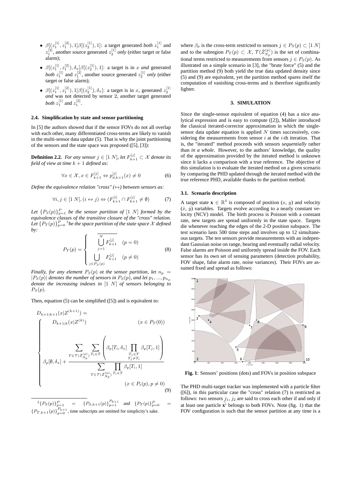- $\beta[(z_1^{[1]}, z_1^{[2]}), 1]\beta[(z_2^{[1]}), 1]$ : a target generated *both*  $z_1^{[1]}$  and  $z_1^{[2]}$ , another source generated  $z_2^{[1]}$  *only* (either target or false alarm);
- $\beta[(z_1^{[1]}, z_1^{[2]}), \delta_x]\beta[(z_2^{[1]}), 1]$ : a target is in x *and* generated *both*  $z_1^{[1]}$  and  $z_1^{[2]}$ , another source generated  $z_2^{[1]}$  *only* (either target or false alarm);
- $\beta[(z_1^{[1]}, z_1^{[2]}), 1]\beta[(z_2^{[1]}), \delta_x]$ : a target is in x, generated  $z_2^{[1]}$ *and* was not detected by sensor 2, another target generated *both*  $z_1^{[1]}$  and  $z_1^{[2]}$ .

#### **2.4. Simplification by state and sensor partitioning**

In [5] the authors showed that if the sensor FOVs do not all overlap with each other, many differentiated cross-terms are likely to vanish in the multi-sensor data update (5). That is why the joint partitioning of the sensors and the state space was proposed ([5], [3]):

**Definition 2.2.** *For any sensor*  $j \in [1 \ N]$ *, let*  $F_{k+1}^{[j]} \subset \mathcal{X}$  *denote its field of view at time* k + 1 *defined as:*

$$
\forall x \in \mathcal{X}, x \in F_{k+1}^{[j]} \Leftrightarrow p_{d,k+1}^{[j]}(x) \neq 0 \tag{6}
$$

*Define the equivalence relation "cross"*  $(\leftrightarrow)$  *between sensors as:* 

$$
\forall i, j \in [1 \ N], (i \leftrightarrow j) \Leftrightarrow (F_{k+1}^{[i]} \cap F_{k+1}^{[j]} \neq \emptyset) \tag{7}
$$

Let  ${P_S(p)}_{p=1}^P$  *be the sensor partition of*  $[1\ N]$  *formed by the equivalence classes of the transitive closure of the "cross" relation.* Let  $\{P_T(p)\}_{p=0}^P$  <sup>5</sup> be the space partition of the state space  $\mathcal X$  defined *by:*

$$
P_T(p) = \begin{cases} \n\overline{\bigcup_{j=1}^{N} F_{k+1}^{[j]}} & (p = 0) \\
\bigcup_{j \in P_S(p)} F_{k+1}^{[j]} & (p \neq 0)\n\end{cases}
$$
\n(8)

*Finally, for any element*  $P_S(p)$  *ot the sensor partition, let*  $n_p$  =  $|P_S(p)|$  *denotes the number of sensors in*  $P_S(p)$ *, and let*  $p_1, ..., p_{n_p}$ *denote the increasing indexes in* [1 N] *of sensors belonging to*  $P_S(p)$ .

Then, equation (5) can be simplified ([5]) and is equivalent to:

$$
D_{k+1|k+1}(x|Z^{(k+1)}) =
$$
\n
$$
\begin{cases}\nD_{k+1|k}(x|Z^{(k)}) & (x \in P_T(0)) \\
\sum_{\substack{T \in \mathcal{T}(\tilde{Z}_{N_p}^{(p)})}} \sum_{T_i \in T} \left( \beta_p[T_i, \delta_x] \prod_{\substack{T_j \in T \\ T_j \neq T_i}} \beta_p[T_j, 1] \right) \\
\beta_p[\emptyset, \delta_x] + \frac{\sum_{\substack{T \in \mathcal{T}(\tilde{Z}_{N_p}^{(p)}) \\ T_i \in T(\tilde{Z}_{N_p}^{(p)})}} \prod_{T_i \in T} \beta_p[T_i, 1] \\
(x \in P_t(p), p \neq 0)\n\end{cases}
$$
\n(9)

 ${}^{5} \{P_{S}(p)\}_{p=1}^{P}$  =  $\{P_{S,k+1}(p)\}_{p=1}^{P_{k+1}}$  and  $\{P_{T}(p)\}_{p=0}^{P}$  =  ${P_{T,k+1}(p)}_{p=0}^{P_{k+1}}$ , time subscripts are omitted for simplicity's sake.

where  $\beta_p$  is the cross-term restricted to sensors  $j \in P_S(p) \subset [1 \ N]$ and to the subregion  $P_T(p) \subset \mathcal{X}, \mathcal{T}(\check{Z}_{N_p}^{(p)})$  is the set of combinational terms restricted to measurements from sensors  $j \in P_S(p)$ . As illustrated on a simple scenario in [3], the "brute force" (5) and the partition method (9) both yield the true data updated density since (5) and (9) are equivalent, yet the partition method spares itself the computation of vanishing cross-terms and is therefore significantly lighter.

#### **3. SIMULATION**

Since the single-sensor equivalent of equation (4) has a nice analytical expression and is easy to compute ([2]), Mahler introduced the classical iterated-corrector approximation in which the singlesensor data update equation is applied  $N$  times successively, considering the measurements from sensor  $i$  at the  $i$ -th iteration. That is, the "iterated" method proceeds with sensors *sequentially* rather than *in a whole*. However, to the authors' knowledge, the quality of the approximation provided by the iterated method is unknown since it lacks a comparison with a true reference. The objective of this simulation is to evaluate the iterated method on a given scenario by comparing the PHD updated through the iterated method with the true reference PHD, available thanks to the partition method.

#### **3.1. Scenario description**

A target state  $\mathbf{x} \in \mathbb{R}^4$  is composed of position  $(x, y)$  and velocity  $(x, y)$  variables. Targets evolve according to a nearly constant velocity (NCV) model. The birth process is Poisson with a constant rate, new targets are spread uniformly in the state space. Targets die whenever reaching the edges of the 2-D position subspace. The test scenario lasts 500 time steps and involves up to 12 simultaneous targets. The ten sensors provide measurements with an independant Gaussian noise on range, bearing and eventually radial velocity. False alarms are Poisson and uniformly spread inside the FOV. Each sensor has its own set of sensing parameters (detection probability, FOV shape, false alarm rate, noise variances). Their FOVs are assumed fixed and spread as follows:



**Fig. 1**: Sensors' positions (dots) and FOVs in position subspace

The PHD multi-target tracker was implemented with a particle filter ([6]), in this particular case the "cross" relation (7) is restricted as follows: two sensors  $j_1$ ,  $j_2$  are said to cross each other if and only if at least one particle  $\tilde{\mathbf{x}}^i$  belongs to both FOVs. Note (fig. 1) that the FOV configuration is such that the sensor partition at any time is a